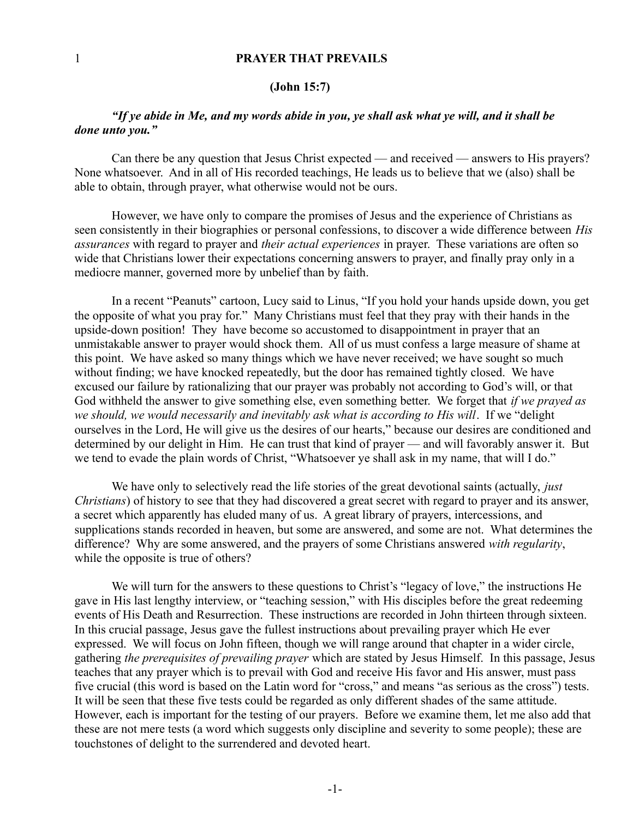## 1 **PRAYER THAT PREVAILS**

#### **(John 15:7)**

# *"If ye abide in Me, and my words abide in you, ye shall ask what ye will, and it shall be done unto you."*

Can there be any question that Jesus Christ expected — and received — answers to His prayers? None whatsoever. And in all of His recorded teachings, He leads us to believe that we (also) shall be able to obtain, through prayer, what otherwise would not be ours.

However, we have only to compare the promises of Jesus and the experience of Christians as seen consistently in their biographies or personal confessions, to discover a wide difference between *His assurances* with regard to prayer and *their actual experiences* in prayer. These variations are often so wide that Christians lower their expectations concerning answers to prayer, and finally pray only in a mediocre manner, governed more by unbelief than by faith.

In a recent "Peanuts" cartoon, Lucy said to Linus, "If you hold your hands upside down, you get the opposite of what you pray for." Many Christians must feel that they pray with their hands in the upside-down position! They have become so accustomed to disappointment in prayer that an unmistakable answer to prayer would shock them. All of us must confess a large measure of shame at this point. We have asked so many things which we have never received; we have sought so much without finding; we have knocked repeatedly, but the door has remained tightly closed. We have excused our failure by rationalizing that our prayer was probably not according to God's will, or that God withheld the answer to give something else, even something better. We forget that *if we prayed as* we should, we would necessarily and inevitably ask what is according to His will. If we "delight ourselves in the Lord, He will give us the desires of our hearts," because our desires are conditioned and determined by our delight in Him. He can trust that kind of prayer — and will favorably answer it. But we tend to evade the plain words of Christ, "Whatsoever ye shall ask in my name, that will I do."

We have only to selectively read the life stories of the great devotional saints (actually, *just Christians*) of history to see that they had discovered a great secret with regard to prayer and its answer, a secret which apparently has eluded many of us. A great library of prayers, intercessions, and supplications stands recorded in heaven, but some are answered, and some are not. What determines the difference? Why are some answered, and the prayers of some Christians answered *with regularity*, while the opposite is true of others?

We will turn for the answers to these questions to Christ's "legacy of love," the instructions He gave in His last lengthy interview, or "teaching session," with His disciples before the great redeeming events of His Death and Resurrection. These instructions are recorded in John thirteen through sixteen. In this crucial passage, Jesus gave the fullest instructions about prevailing prayer which He ever expressed. We will focus on John fifteen, though we will range around that chapter in a wider circle, gathering *the prerequisites of prevailing prayer* which are stated by Jesus Himself. In this passage, Jesus teaches that any prayer which is to prevail with God and receive His favor and His answer, must pass five crucial (this word is based on the Latin word for "cross," and means "as serious as the cross") tests. It will be seen that these five tests could be regarded as only different shades of the same attitude. However, each is important for the testing of our prayers. Before we examine them, let me also add that these are not mere tests (a word which suggests only discipline and severity to some people); these are touchstones of delight to the surrendered and devoted heart.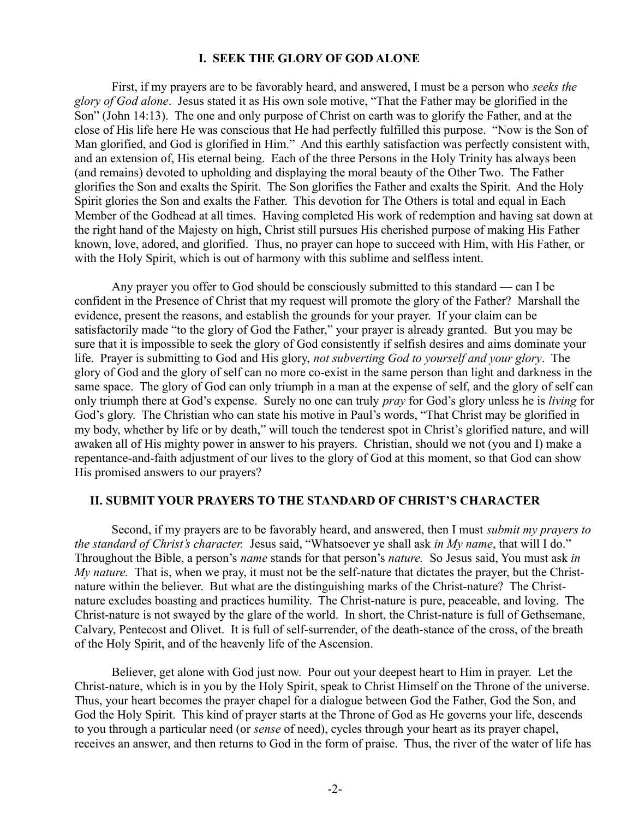# **I. SEEK THE GLORY OF GOD ALONE**

First, if my prayers are to be favorably heard, and answered, I must be a person who *seeks the glory of God alone*. Jesus stated it as His own sole motive, "That the Father may be glorified in the Son" (John 14:13). The one and only purpose of Christ on earth was to glorify the Father, and at the close of His life here He was conscious that He had perfectly fulfilled this purpose. "Now is the Son of Man glorified, and God is glorified in Him." And this earthly satisfaction was perfectly consistent with, and an extension of, His eternal being. Each of the three Persons in the Holy Trinity has always been (and remains) devoted to upholding and displaying the moral beauty of the Other Two. The Father glorifies the Son and exalts the Spirit. The Son glorifies the Father and exalts the Spirit. And the Holy Spirit glories the Son and exalts the Father. This devotion for The Others is total and equal in Each Member of the Godhead at all times. Having completed His work of redemption and having sat down at the right hand of the Majesty on high, Christ still pursues His cherished purpose of making His Father known, love, adored, and glorified. Thus, no prayer can hope to succeed with Him, with His Father, or with the Holy Spirit, which is out of harmony with this sublime and selfless intent.

Any prayer you offer to God should be consciously submitted to this standard — can I be confident in the Presence of Christ that my request will promote the glory of the Father? Marshall the evidence, present the reasons, and establish the grounds for your prayer. If your claim can be satisfactorily made "to the glory of God the Father," your prayer is already granted. But you may be sure that it is impossible to seek the glory of God consistently if selfish desires and aims dominate your life. Prayer is submitting to God and His glory, *not subverting God to yourself and your glory*. The glory of God and the glory of self can no more co-exist in the same person than light and darkness in the same space. The glory of God can only triumph in a man at the expense of self, and the glory of self can only triumph there at God's expense. Surely no one can truly *pray* for God's glory unless he is *living* for God's glory. The Christian who can state his motive in Paul's words, "That Christ may be glorified in my body, whether by life or by death," will touch the tenderest spot in Christ's glorified nature, and will awaken all of His mighty power in answer to his prayers. Christian, should we not (you and I) make a repentance-and-faith adjustment of our lives to the glory of God at this moment, so that God can show His promised answers to our prayers?

### **II. SUBMIT YOUR PRAYERS TO THE STANDARD OF CHRIST'S CHARACTER**

Second, if my prayers are to be favorably heard, and answered, then I must *submit my prayers to the standard of Christ's character.* Jesus said, "Whatsoever ye shall ask *in My name*, that will I do." Throughout the Bible, a person's *name* stands for that person's *nature.* So Jesus said, You must ask *in My nature.* That is, when we pray, it must not be the self-nature that dictates the prayer, but the Christnature within the believer. But what are the distinguishing marks of the Christ-nature? The Christnature excludes boasting and practices humility. The Christ-nature is pure, peaceable, and loving. The Christ-nature is not swayed by the glare of the world. In short, the Christ-nature is full of Gethsemane, Calvary, Pentecost and Olivet. It is full of self-surrender, of the death-stance of the cross, of the breath of the Holy Spirit, and of the heavenly life of the Ascension.

Believer, get alone with God just now. Pour out your deepest heart to Him in prayer. Let the Christ-nature, which is in you by the Holy Spirit, speak to Christ Himself on the Throne of the universe. Thus, your heart becomes the prayer chapel for a dialogue between God the Father, God the Son, and God the Holy Spirit. This kind of prayer starts at the Throne of God as He governs your life, descends to you through a particular need (or *sense* of need), cycles through your heart as its prayer chapel, receives an answer, and then returns to God in the form of praise. Thus, the river of the water of life has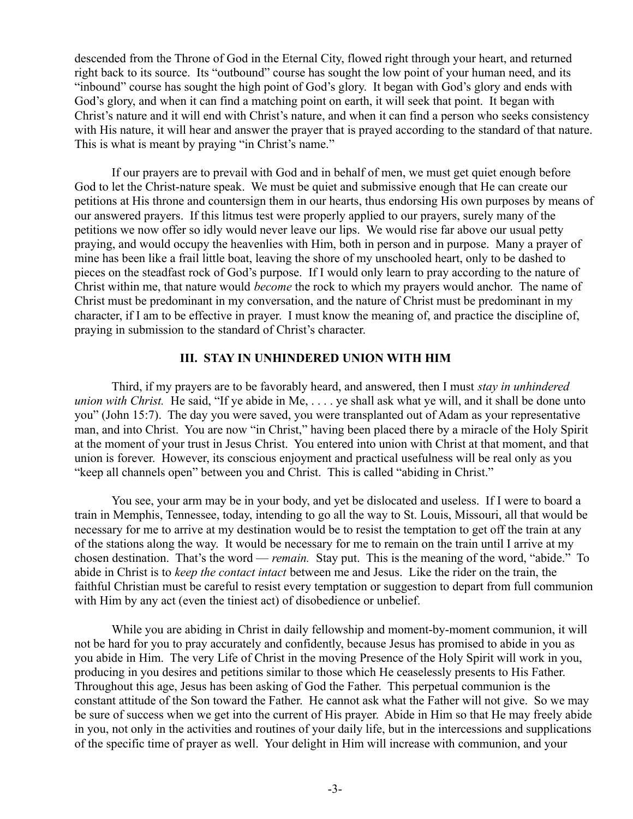descended from the Throne of God in the Eternal City, flowed right through your heart, and returned right back to its source. Its "outbound" course has sought the low point of your human need, and its "inbound" course has sought the high point of God's glory. It began with God's glory and ends with God's glory, and when it can find a matching point on earth, it will seek that point. It began with Christ's nature and it will end with Christ's nature, and when it can find a person who seeks consistency with His nature, it will hear and answer the prayer that is prayed according to the standard of that nature. This is what is meant by praying "in Christ's name."

If our prayers are to prevail with God and in behalf of men, we must get quiet enough before God to let the Christ-nature speak. We must be quiet and submissive enough that He can create our petitions at His throne and countersign them in our hearts, thus endorsing His own purposes by means of our answered prayers. If this litmus test were properly applied to our prayers, surely many of the petitions we now offer so idly would never leave our lips. We would rise far above our usual petty praying, and would occupy the heavenlies with Him, both in person and in purpose. Many a prayer of mine has been like a frail little boat, leaving the shore of my unschooled heart, only to be dashed to pieces on the steadfast rock of God's purpose. If I would only learn to pray according to the nature of Christ within me, that nature would *become* the rock to which my prayers would anchor. The name of Christ must be predominant in my conversation, and the nature of Christ must be predominant in my character, if I am to be effective in prayer. I must know the meaning of, and practice the discipline of, praying in submission to the standard of Christ's character.

#### **III. STAY IN UNHINDERED UNION WITH HIM**

Third, if my prayers are to be favorably heard, and answered, then I must *stay in unhindered union with Christ.* He said, "If ye abide in Me, . . . . ye shall ask what ye will, and it shall be done unto you" (John 15:7). The day you were saved, you were transplanted out of Adam as your representative man, and into Christ. You are now "in Christ," having been placed there by a miracle of the Holy Spirit at the moment of your trust in Jesus Christ. You entered into union with Christ at that moment, and that union is forever. However, its conscious enjoyment and practical usefulness will be real only as you "keep all channels open" between you and Christ. This is called "abiding in Christ."

You see, your arm may be in your body, and yet be dislocated and useless. If I were to board a train in Memphis, Tennessee, today, intending to go all the way to St. Louis, Missouri, all that would be necessary for me to arrive at my destination would be to resist the temptation to get off the train at any of the stations along the way. It would be necessary for me to remain on the train until I arrive at my chosen destination. That's the word — *remain.* Stay put. This is the meaning of the word, "abide." To abide in Christ is to *keep the contact intact* between me and Jesus. Like the rider on the train, the faithful Christian must be careful to resist every temptation or suggestion to depart from full communion with Him by any act (even the tiniest act) of disobedience or unbelief.

While you are abiding in Christ in daily fellowship and moment-by-moment communion, it will not be hard for you to pray accurately and confidently, because Jesus has promised to abide in you as you abide in Him. The very Life of Christ in the moving Presence of the Holy Spirit will work in you, producing in you desires and petitions similar to those which He ceaselessly presents to His Father. Throughout this age, Jesus has been asking of God the Father. This perpetual communion is the constant attitude of the Son toward the Father. He cannot ask what the Father will not give. So we may be sure of success when we get into the current of His prayer. Abide in Him so that He may freely abide in you, not only in the activities and routines of your daily life, but in the intercessions and supplications of the specific time of prayer as well. Your delight in Him will increase with communion, and your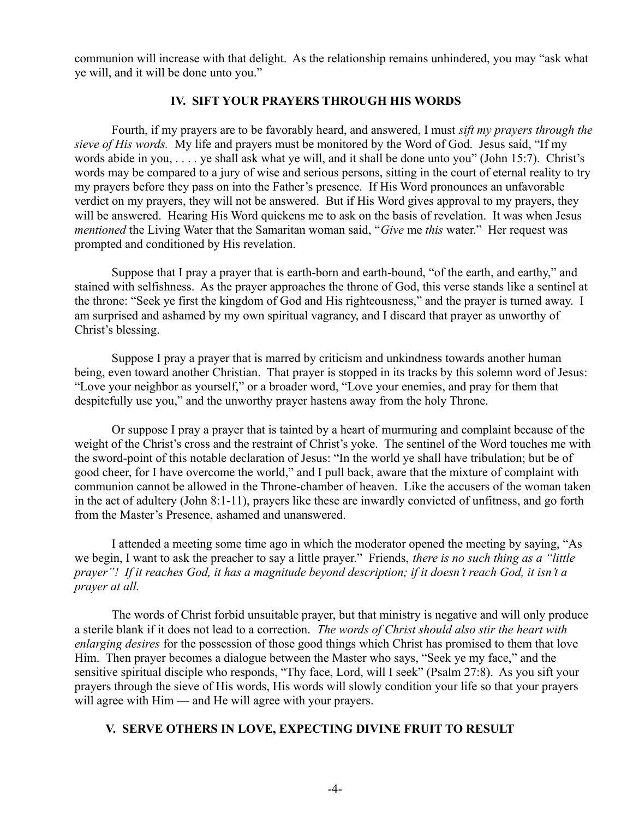communion will increase with that delight. As the relationship remains unhindered, you may "ask what ye will, and it will be done unto you."

## **IV. SIFT YOUR PRAYERS THROUGH HIS WORDS**

Fourth, if my prayers are to be favorably heard, and answered, I must *sift my prayers through the sieve of His words.* My life and prayers must be monitored by the Word of God. Jesus said, "If my words abide in you, . . . . ye shall ask what ye will, and it shall be done unto you" (John 15:7). Christ's words may be compared to a jury of wise and serious persons, sitting in the court of eternal reality to try my prayers before they pass on into the Father's presence. If His Word pronounces an unfavorable verdict on my prayers, they will not be answered. But if His Word gives approval to my prayers, they will be answered. Hearing His Word quickens me to ask on the basis of revelation. It was when Jesus *mentioned* the Living Water that the Samaritan woman said, "*Give* me *this* water." Her request was prompted and conditioned by His revelation.

Suppose that I pray a prayer that is earth-born and earth-bound, "of the earth, and earthy," and stained with selfishness. As the prayer approaches the throne of God, this verse stands like a sentinel at the throne: "Seek ye first the kingdom of God and His righteousness," and the prayer is turned away. I am surprised and ashamed by my own spiritual vagrancy, and I discard that prayer as unworthy of Christ's blessing.

Suppose I pray a prayer that is marred by criticism and unkindness towards another human being, even toward another Christian. That prayer is stopped in its tracks by this solemn word of Jesus: "Love your neighbor as yourself," or a broader word, "Love your enemies, and pray for them that despitefully use you," and the unworthy prayer hastens away from the holy Throne.

Or suppose I pray a prayer that is tainted by a heart of murmuring and complaint because of the weight of the Christ's cross and the restraint of Christ's yoke. The sentinel of the Word touches me with the sword-point of this notable declaration of Jesus: "In the world ye shall have tribulation; but be of good cheer, for I have overcome the world," and I pull back, aware that the mixture of complaint with communion cannot be allowed in the Throne-chamber of heaven. Like the accusers of the woman taken in the act of adultery (John 8:1-11), prayers like these are inwardly convicted of unfitness, and go forth from the Master's Presence, ashamed and unanswered.

I attended a meeting some time ago in which the moderator opened the meeting by saying, "As we begin, I want to ask the preacher to say a little prayer." Friends, *there is no such thing as a "little prayer"! If it reaches God, it has a magnitude beyond description; if it doesn't reach God, it isn't a prayer at all.*

The words of Christ forbid unsuitable prayer, but that ministry is negative and will only produce a sterile blank if it does not lead to a correction. *The words of Christ should also stir the heart with enlarging desires* for the possession of those good things which Christ has promised to them that love Him. Then prayer becomes a dialogue between the Master who says, "Seek ye my face," and the sensitive spiritual disciple who responds, "Thy face, Lord, will I seek" (Psalm 27:8). As you sift your prayers through the sieve of His words, His words will slowly condition your life so that your prayers will agree with Him — and He will agree with your prayers.

## **V. SERVE OTHERS IN LOVE, EXPECTING DIVINE FRUIT TO RESULT**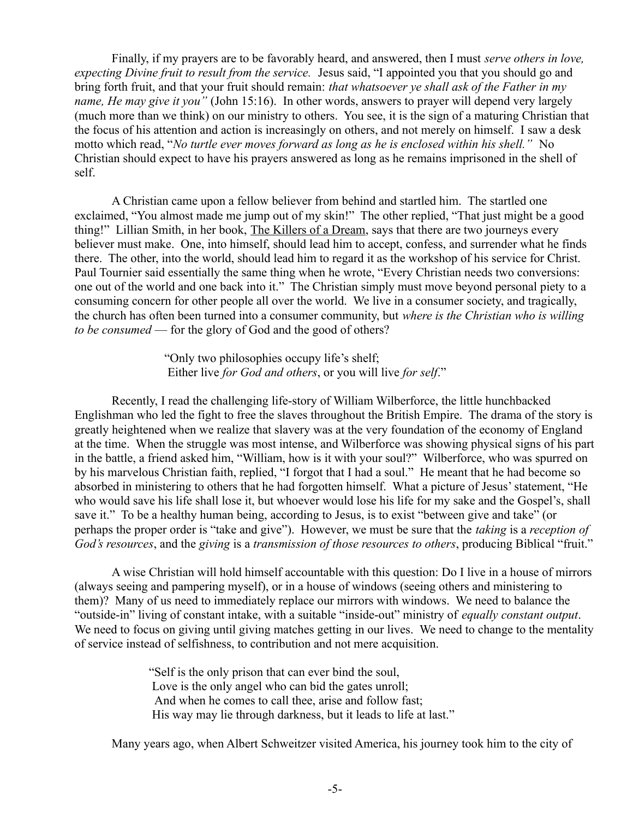Finally, if my prayers are to be favorably heard, and answered, then I must *serve others in love, expecting Divine fruit to result from the service.* Jesus said, "I appointed you that you should go and bring forth fruit, and that your fruit should remain: *that whatsoever ye shall ask of the Father in my name, He may give it you"* (John 15:16). In other words, answers to prayer will depend very largely (much more than we think) on our ministry to others. You see, it is the sign of a maturing Christian that the focus of his attention and action is increasingly on others, and not merely on himself. I saw a desk motto which read, "*No turtle ever moves forward as long as he is enclosed within his shell.*" No Christian should expect to have his prayers answered as long as he remains imprisoned in the shell of self.

A Christian came upon a fellow believer from behind and startled him. The startled one exclaimed, "You almost made me jump out of my skin!" The other replied, "That just might be a good thing!" Lillian Smith, in her book, The Killers of a Dream, says that there are two journeys every believer must make. One, into himself, should lead him to accept, confess, and surrender what he finds there. The other, into the world, should lead him to regard it as the workshop of his service for Christ. Paul Tournier said essentially the same thing when he wrote, "Every Christian needs two conversions: one out of the world and one back into it." The Christian simply must move beyond personal piety to a consuming concern for other people all over the world. We live in a consumer society, and tragically, the church has often been turned into a consumer community, but *where is the Christian who is willing to be consumed* — for the glory of God and the good of others?

> "Only two philosophies occupy life's shelf; Either live *for God and others*, or you will live *for self*."

Recently, I read the challenging life-story of William Wilberforce, the little hunchbacked Englishman who led the fight to free the slaves throughout the British Empire. The drama of the story is greatly heightened when we realize that slavery was at the very foundation of the economy of England at the time. When the struggle was most intense, and Wilberforce was showing physical signs of his part in the battle, a friend asked him, "William, how is it with your soul?" Wilberforce, who was spurred on by his marvelous Christian faith, replied, "I forgot that I had a soul." He meant that he had become so absorbed in ministering to others that he had forgotten himself. What a picture of Jesus' statement, "He who would save his life shall lose it, but whoever would lose his life for my sake and the Gospel's, shall save it." To be a healthy human being, according to Jesus, is to exist "between give and take" (or perhaps the proper order is "take and give"). However, we must be sure that the *taking* is a *reception of God's resources*, and the *giving* is a *transmission of those resources to others*, producing Biblical "fruit."

A wise Christian will hold himself accountable with this question: Do I live in a house of mirrors (always seeing and pampering myself), or in a house of windows (seeing others and ministering to them)? Many of us need to immediately replace our mirrors with windows. We need to balance the "outside-in" living of constant intake, with a suitable "inside-out" ministry of *equally constant output*. We need to focus on giving until giving matches getting in our lives. We need to change to the mentality of service instead of selfishness, to contribution and not mere acquisition.

> "Self is the only prison that can ever bind the soul, Love is the only angel who can bid the gates unroll; And when he comes to call thee, arise and follow fast; His way may lie through darkness, but it leads to life at last."

Many years ago, when Albert Schweitzer visited America, his journey took him to the city of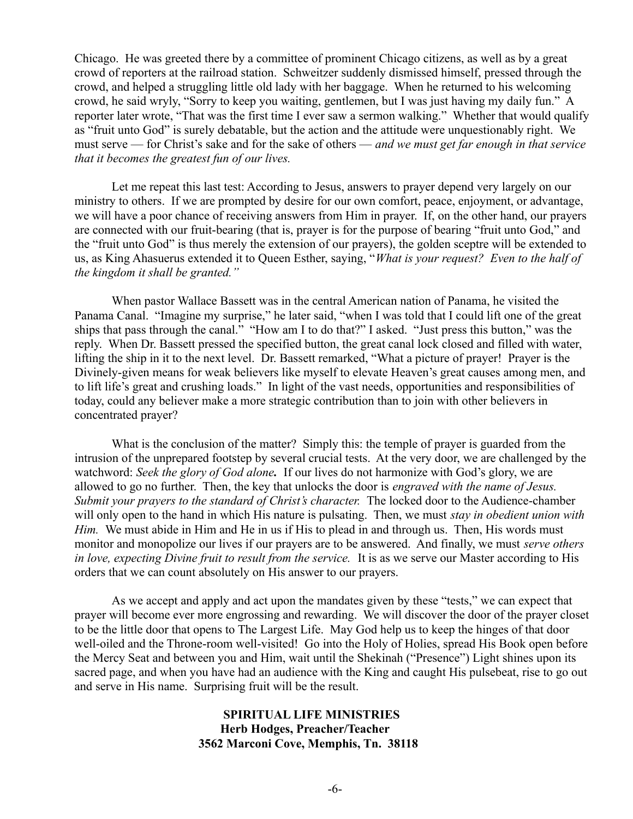Chicago. He was greeted there by a committee of prominent Chicago citizens, as well as by a great crowd of reporters at the railroad station. Schweitzer suddenly dismissed himself, pressed through the crowd, and helped a struggling little old lady with her baggage. When he returned to his welcoming crowd, he said wryly, "Sorry to keep you waiting, gentlemen, but I was just having my daily fun." A reporter later wrote, "That was the first time I ever saw a sermon walking." Whether that would qualify as "fruit unto God" is surely debatable, but the action and the attitude were unquestionably right. We must serve — for Christ's sake and for the sake of others — *and we must get far enough in that service that it becomes the greatest fun of our lives.*

Let me repeat this last test: According to Jesus, answers to prayer depend very largely on our ministry to others. If we are prompted by desire for our own comfort, peace, enjoyment, or advantage, we will have a poor chance of receiving answers from Him in prayer. If, on the other hand, our prayers are connected with our fruit-bearing (that is, prayer is for the purpose of bearing "fruit unto God," and the "fruit unto God" is thus merely the extension of our prayers), the golden sceptre will be extended to us, as King Ahasuerus extended it to Queen Esther, saying, "*What is your request? Even to the half of the kingdom it shall be granted."*

When pastor Wallace Bassett was in the central American nation of Panama, he visited the Panama Canal. "Imagine my surprise," he later said, "when I was told that I could lift one of the great ships that pass through the canal." "How am I to do that?" I asked. "Just press this button," was the reply. When Dr. Bassett pressed the specified button, the great canal lock closed and filled with water, lifting the ship in it to the next level. Dr. Bassett remarked, "What a picture of prayer! Prayer is the Divinely-given means for weak believers like myself to elevate Heaven's great causes among men, and to lift life's great and crushing loads." In light of the vast needs, opportunities and responsibilities of today, could any believer make a more strategic contribution than to join with other believers in concentrated prayer?

What is the conclusion of the matter? Simply this: the temple of prayer is guarded from the intrusion of the unprepared footstep by several crucial tests. At the very door, we are challenged by the watchword: *Seek the glory of God alone.* If our lives do not harmonize with God's glory, we are allowed to go no further. Then, the key that unlocks the door is *engraved with the name of Jesus. Submit your prayers to the standard of Christ's character.* The locked door to the Audience-chamber will only open to the hand in which His nature is pulsating. Then, we must *stay in obedient union with Him.* We must abide in Him and He in us if His to plead in and through us. Then, His words must monitor and monopolize our lives if our prayers are to be answered. And finally, we must *serve others in love, expecting Divine fruit to result from the service.* It is as we serve our Master according to His orders that we can count absolutely on His answer to our prayers.

As we accept and apply and act upon the mandates given by these "tests," we can expect that prayer will become ever more engrossing and rewarding. We will discover the door of the prayer closet to be the little door that opens to The Largest Life. May God help us to keep the hinges of that door well-oiled and the Throne-room well-visited! Go into the Holy of Holies, spread His Book open before the Mercy Seat and between you and Him, wait until the Shekinah ("Presence") Light shines upon its sacred page, and when you have had an audience with the King and caught His pulsebeat, rise to go out and serve in His name. Surprising fruit will be the result.

# **SPIRITUAL LIFE MINISTRIES Herb Hodges, Preacher/Teacher 3562 Marconi Cove, Memphis, Tn. 38118**